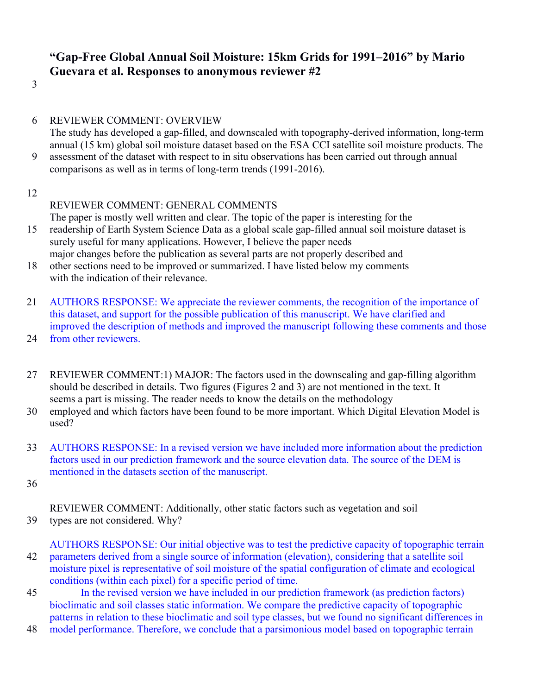# **"Gap-Free Global Annual Soil Moisture: 15km Grids for 1991–2016" by Mario Guevara et al. Responses to anonymous reviewer #2**

3

- 6 REVIEWER COMMENT: OVERVIEW The study has developed a gap-filled, and downscaled with topography-derived information, long-term annual (15 km) global soil moisture dataset based on the ESA CCI satellite soil moisture products. The 9 assessment of the dataset with respect to in situ observations has been carried out through annual comparisons as well as in terms of long-term trends (1991-2016).
- 12

## REVIEWER COMMENT: GENERAL COMMENTS

The paper is mostly well written and clear. The topic of the paper is interesting for the

- 15 readership of Earth System Science Data as a global scale gap-filled annual soil moisture dataset is surely useful for many applications. However, I believe the paper needs major changes before the publication as several parts are not properly described and
- 18 other sections need to be improved or summarized. I have listed below my comments with the indication of their relevance.
- 21 AUTHORS RESPONSE: We appreciate the reviewer comments, the recognition of the importance of this dataset, and support for the possible publication of this manuscript. We have clarified and improved the description of methods and improved the manuscript following these comments and those
- 24 from other reviewers.
- 27 REVIEWER COMMENT:1) MAJOR: The factors used in the downscaling and gap-filling algorithm should be described in details. Two figures (Figures 2 and 3) are not mentioned in the text. It seems a part is missing. The reader needs to know the details on the methodology
- 30 employed and which factors have been found to be more important. Which Digital Elevation Model is used?
- 33 AUTHORS RESPONSE: In a revised version we have included more information about the prediction factors used in our prediction framework and the source elevation data. The source of the DEM is mentioned in the datasets section of the manuscript.
- 36

REVIEWER COMMENT: Additionally, other static factors such as vegetation and soil 39 types are not considered. Why?

AUTHORS RESPONSE: Our initial objective was to test the predictive capacity of topographic terrain 42 parameters derived from a single source of information (elevation), considering that a satellite soil moisture pixel is representative of soil moisture of the spatial configuration of climate and ecological conditions (within each pixel) for a specific period of time.

45 In the revised version we have included in our prediction framework (as prediction factors) bioclimatic and soil classes static information. We compare the predictive capacity of topographic patterns in relation to these bioclimatic and soil type classes, but we found no significant differences in

48 model performance. Therefore, we conclude that a parsimonious model based on topographic terrain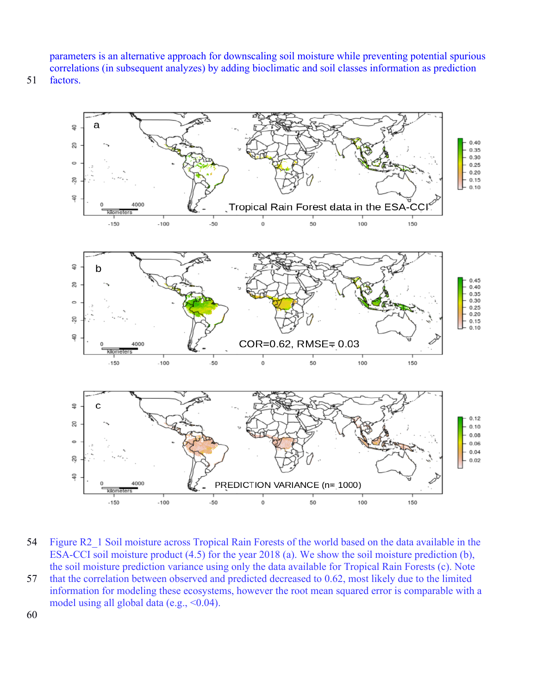parameters is an alternative approach for downscaling soil moisture while preventing potential spurious correlations (in subsequent analyzes) by adding bioclimatic and soil classes information as prediction

51 factors.



54 Figure R2\_1 Soil moisture across Tropical Rain Forests of the world based on the data available in the ESA-CCI soil moisture product (4.5) for the year 2018 (a). We show the soil moisture prediction (b), the soil moisture prediction variance using only the data available for Tropical Rain Forests (c). Note 57 that the correlation between observed and predicted decreased to 0.62, most likely due to the limited information for modeling these ecosystems, however the root mean squared error is comparable with a model using all global data (e.g.,  $\leq 0.04$ ).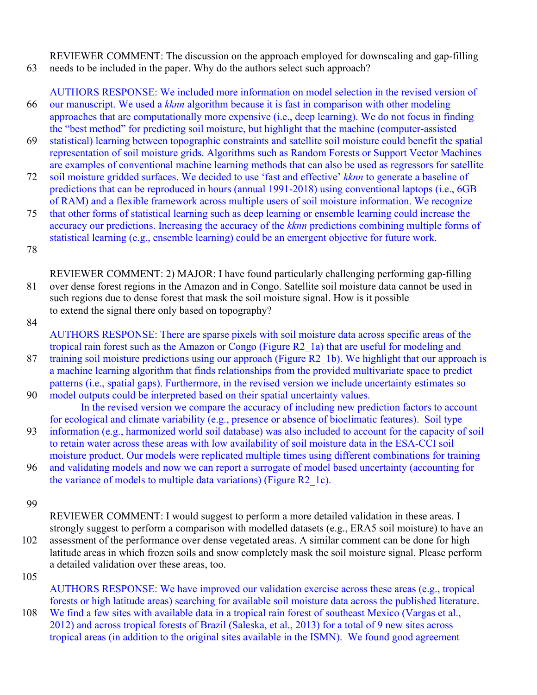REVIEWER COMMENT: The discussion on the approach employed for downscaling and gap-filling 63 needs to be included in the paper. Why do the authors select such approach?

AUTHORS RESPONSE: We included more information on model selection in the revised version of 66 our manuscript. We used a *kknn* algorithm because it is fast in comparison with other modeling approaches that are computationally more expensive (i.e., deep learning). We do not focus in finding the "best method" for predicting soil moisture, but highlight that the machine (computer-assisted

- 69 statistical) learning between topographic constraints and satellite soil moisture could benefit the spatial representation of soil moisture grids. Algorithms such as Random Forests or Support Vector Machines are examples of conventional machine learning methods that can also be used as regressors for satellite
- 72 soil moisture gridded surfaces. We decided to use 'fast and effective' *kknn* to generate a baseline of predictions that can be reproduced in hours (annual 1991-2018) using conventional laptops (i.e., 6GB of RAM) and a flexible framework across multiple users of soil moisture information. We recognize
- 75 that other forms of statistical learning such as deep learning or ensemble learning could increase the accuracy our predictions. Increasing the accuracy of the *kknn* predictions combining multiple forms of statistical learning (e.g., ensemble learning) could be an emergent objective for future work.

78

REVIEWER COMMENT: 2) MAJOR: I have found particularly challenging performing gap-filling 81 over dense forest regions in the Amazon and in Congo. Satellite soil moisture data cannot be used in such regions due to dense forest that mask the soil moisture signal. How is it possible to extend the signal there only based on topography?

84

AUTHORS RESPONSE: There are sparse pixels with soil moisture data across specific areas of the tropical rain forest such as the Amazon or Congo (Figure R2\_1a) that are useful for modeling and 87 training soil moisture predictions using our approach (Figure R2, 1b). We highlight that our approach is a machine learning algorithm that finds relationships from the provided multivariate space to predict patterns (i.e., spatial gaps). Furthermore, in the revised version we include uncertainty estimates so 90 model outputs could be interpreted based on their spatial uncertainty values.

In the revised version we compare the accuracy of including new prediction factors to account for ecological and climate variability (e.g., presence or absence of bioclimatic features). Soil type

- 93 information (e.g., harmonized world soil database) was also included to account for the capacity of soil to retain water across these areas with low availability of soil moisture data in the ESA-CCI soil moisture product. Our models were replicated multiple times using different combinations for training
- 96 and validating models and now we can report a surrogate of model based uncertainty (accounting for the variance of models to multiple data variations) (Figure R2\_1c).
- 99

REVIEWER COMMENT: I would suggest to perform a more detailed validation in these areas. I strongly suggest to perform a comparison with modelled datasets (e.g., ERA5 soil moisture) to have an 102 assessment of the performance over dense vegetated areas. A similar comment can be done for high latitude areas in which frozen soils and snow completely mask the soil moisture signal. Please perform a detailed validation over these areas, too.

105

AUTHORS RESPONSE: We have improved our validation exercise across these areas (e.g., tropical forests or high latitude areas) searching for available soil moisture data across the published literature.

108 We find a few sites with available data in a tropical rain forest of southeast Mexico (Vargas et al., 2012) and across tropical forests of Brazil (Saleska, et al., 2013) for a total of 9 new sites across tropical areas (in addition to the original sites available in the ISMN). We found good agreement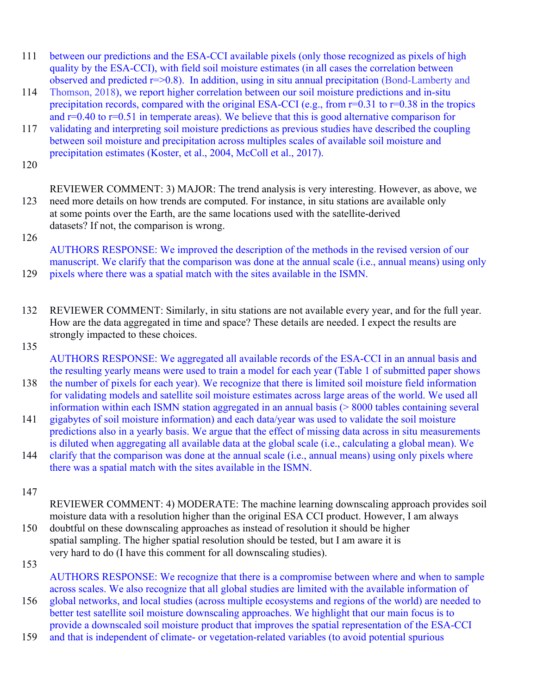- 111 between our predictions and the ESA-CCI available pixels (only those recognized as pixels of high quality by the ESA-CCI), with field soil moisture estimates (in all cases the correlation between observed and predicted  $r = 0.8$ ). In addition, using in situ annual precipitation (Bond-Lamberty and
- 114 Thomson, 2018), we report higher correlation between our soil moisture predictions and in-situ precipitation records, compared with the original ESA-CCI (e.g., from  $r=0.31$  to  $r=0.38$  in the tropics and r=0.40 to r=0.51 in temperate areas). We believe that this is good alternative comparison for
- 117 validating and interpreting soil moisture predictions as previous studies have described the coupling between soil moisture and precipitation across multiples scales of available soil moisture and precipitation estimates (Koster, et al., 2004, McColl et al., 2017).

120

REVIEWER COMMENT: 3) MAJOR: The trend analysis is very interesting. However, as above, we 123 need more details on how trends are computed. For instance, in situ stations are available only at some points over the Earth, are the same locations used with the satellite-derived datasets? If not, the comparison is wrong.

126

AUTHORS RESPONSE: We improved the description of the methods in the revised version of our manuscript. We clarify that the comparison was done at the annual scale (i.e., annual means) using only 129 pixels where there was a spatial match with the sites available in the ISMN.

- 132 REVIEWER COMMENT: Similarly, in situ stations are not available every year, and for the full year. How are the data aggregated in time and space? These details are needed. I expect the results are strongly impacted to these choices.
- 135

AUTHORS RESPONSE: We aggregated all available records of the ESA-CCI in an annual basis and the resulting yearly means were used to train a model for each year (Table 1 of submitted paper shows

- 138 the number of pixels for each year). We recognize that there is limited soil moisture field information for validating models and satellite soil moisture estimates across large areas of the world. We used all information within each ISMN station aggregated in an annual basis (> 8000 tables containing several
- 141 gigabytes of soil moisture information) and each data/year was used to validate the soil moisture predictions also in a yearly basis. We argue that the effect of missing data across in situ measurements is diluted when aggregating all available data at the global scale (i.e., calculating a global mean). We
- 144 clarify that the comparison was done at the annual scale (i.e., annual means) using only pixels where there was a spatial match with the sites available in the ISMN.
- 147
- REVIEWER COMMENT: 4) MODERATE: The machine learning downscaling approach provides soil moisture data with a resolution higher than the original ESA CCI product. However, I am always 150 doubtful on these downscaling approaches as instead of resolution it should be higher
- spatial sampling. The higher spatial resolution should be tested, but I am aware it is very hard to do (I have this comment for all downscaling studies).
- 153

AUTHORS RESPONSE: We recognize that there is a compromise between where and when to sample across scales. We also recognize that all global studies are limited with the available information of

- 156 global networks, and local studies (across multiple ecosystems and regions of the world) are needed to better test satellite soil moisture downscaling approaches. We highlight that our main focus is to provide a downscaled soil moisture product that improves the spatial representation of the ESA-CCI
- 159 and that is independent of climate- or vegetation-related variables (to avoid potential spurious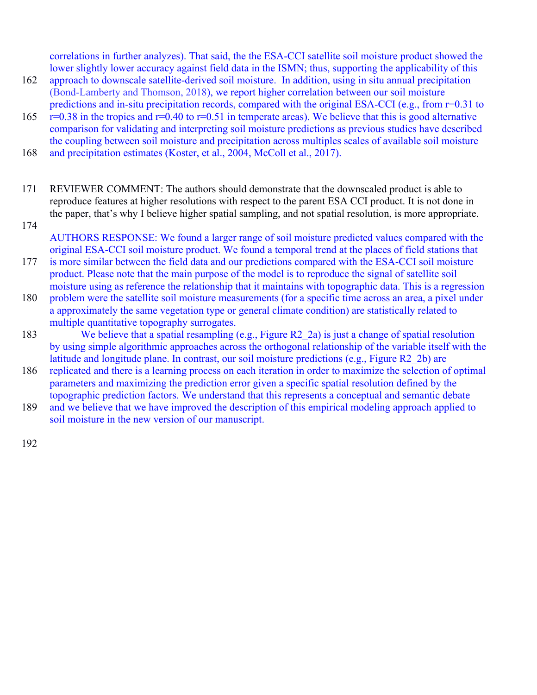correlations in further analyzes). That said, the the ESA-CCI satellite soil moisture product showed the lower slightly lower accuracy against field data in the ISMN; thus, supporting the applicability of this

- 162 approach to downscale satellite-derived soil moisture. In addition, using in situ annual precipitation (Bond-Lamberty and Thomson, 2018), we report higher correlation between our soil moisture predictions and in-situ precipitation records, compared with the original ESA-CCI (e.g., from r=0.31 to
- 165  $r=0.38$  in the tropics and  $r=0.40$  to  $r=0.51$  in temperate areas). We believe that this is good alternative comparison for validating and interpreting soil moisture predictions as previous studies have described the coupling between soil moisture and precipitation across multiples scales of available soil moisture

168 and precipitation estimates (Koster, et al., 2004, McColl et al., 2017).

- 171 REVIEWER COMMENT: The authors should demonstrate that the downscaled product is able to reproduce features at higher resolutions with respect to the parent ESA CCI product. It is not done in the paper, that's why I believe higher spatial sampling, and not spatial resolution, is more appropriate.
- 174

AUTHORS RESPONSE: We found a larger range of soil moisture predicted values compared with the original ESA-CCI soil moisture product. We found a temporal trend at the places of field stations that 177 is more similar between the field data and our predictions compared with the ESA-CCI soil moisture

product. Please note that the main purpose of the model is to reproduce the signal of satellite soil moisture using as reference the relationship that it maintains with topographic data. This is a regression

- 180 problem were the satellite soil moisture measurements (for a specific time across an area, a pixel under a approximately the same vegetation type or general climate condition) are statistically related to multiple quantitative topography surrogates.
- 183 We believe that a spatial resampling (e.g., Figure R2\_2a) is just a change of spatial resolution by using simple algorithmic approaches across the orthogonal relationship of the variable itself with the latitude and longitude plane. In contrast, our soil moisture predictions (e.g., Figure R2\_2b) are
- 186 replicated and there is a learning process on each iteration in order to maximize the selection of optimal parameters and maximizing the prediction error given a specific spatial resolution defined by the topographic prediction factors. We understand that this represents a conceptual and semantic debate
- 189 and we believe that we have improved the description of this empirical modeling approach applied to soil moisture in the new version of our manuscript.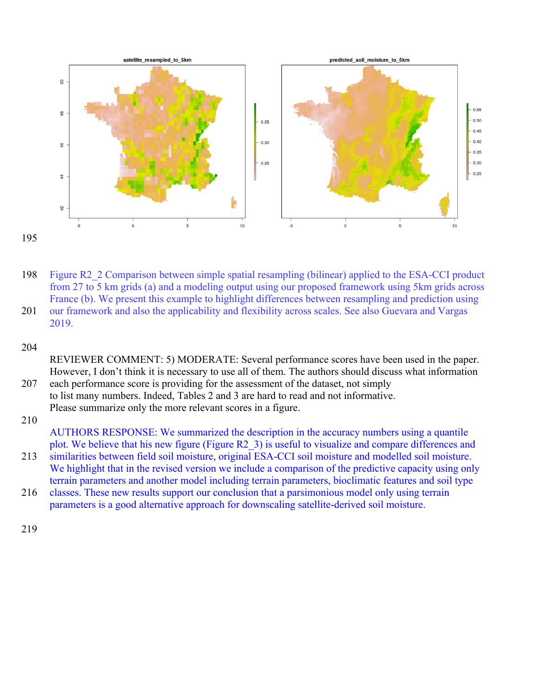

195

198 Figure R2\_2 Comparison between simple spatial resampling (bilinear) applied to the ESA-CCI product from 27 to 5 km grids (a) and a modeling output using our proposed framework using 5km grids across France (b). We present this example to highlight differences between resampling and prediction using 201 our framework and also the applicability and flexibility across scales. See also Guevara and Vargas 2019.

204

REVIEWER COMMENT: 5) MODERATE: Several performance scores have been used in the paper. However, I don't think it is necessary to use all of them. The authors should discuss what information

207 each performance score is providing for the assessment of the dataset, not simply to list many numbers. Indeed, Tables 2 and 3 are hard to read and not informative. Please summarize only the more relevant scores in a figure.

210

AUTHORS RESPONSE: We summarized the description in the accuracy numbers using a quantile plot. We believe that his new figure (Figure R2\_3) is useful to visualize and compare differences and

- 213 similarities between field soil moisture, original ESA-CCI soil moisture and modelled soil moisture. We highlight that in the revised version we include a comparison of the predictive capacity using only terrain parameters and another model including terrain parameters, bioclimatic features and soil type
- 216 classes. These new results support our conclusion that a parsimonious model only using terrain parameters is a good alternative approach for downscaling satellite-derived soil moisture.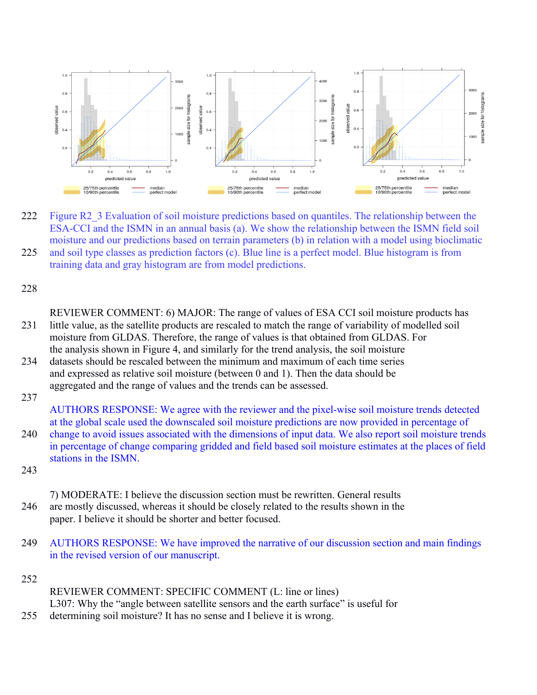

222 Figure R2\_3 Evaluation of soil moisture predictions based on quantiles. The relationship between the ESA-CCI and the ISMN in an annual basis (a). We show the relationship between the ISMN field soil moisture and our predictions based on terrain parameters (b) in relation with a model using bioclimatic 225 and soil type classes as prediction factors (c). Blue line is a perfect model. Blue histogram is from training data and gray histogram are from model predictions.

228

REVIEWER COMMENT: 6) MAJOR: The range of values of ESA CCI soil moisture products has 231 little value, as the satellite products are rescaled to match the range of variability of modelled soil moisture from GLDAS. Therefore, the range of values is that obtained from GLDAS. For the analysis shown in Figure 4, and similarly for the trend analysis, the soil moisture 234 datasets should be rescaled between the minimum and maximum of each time series and expressed as relative soil moisture (between 0 and 1). Then the data should be

aggregated and the range of values and the trends can be assessed.

237

AUTHORS RESPONSE: We agree with the reviewer and the pixel-wise soil moisture trends detected at the global scale used the downscaled soil moisture predictions are now provided in percentage of 240 change to avoid issues associated with the dimensions of input data. We also report soil moisture trends in percentage of change comparing gridded and field based soil moisture estimates at the places of field stations in the ISMN.

243

7) MODERATE: I believe the discussion section must be rewritten. General results 246 are mostly discussed, whereas it should be closely related to the results shown in the paper. I believe it should be shorter and better focused.

249 AUTHORS RESPONSE: We have improved the narrative of our discussion section and main findings in the revised version of our manuscript.

252

REVIEWER COMMENT: SPECIFIC COMMENT (L: line or lines) L307: Why the "angle between satellite sensors and the earth surface" is useful for 255 determining soil moisture? It has no sense and I believe it is wrong.